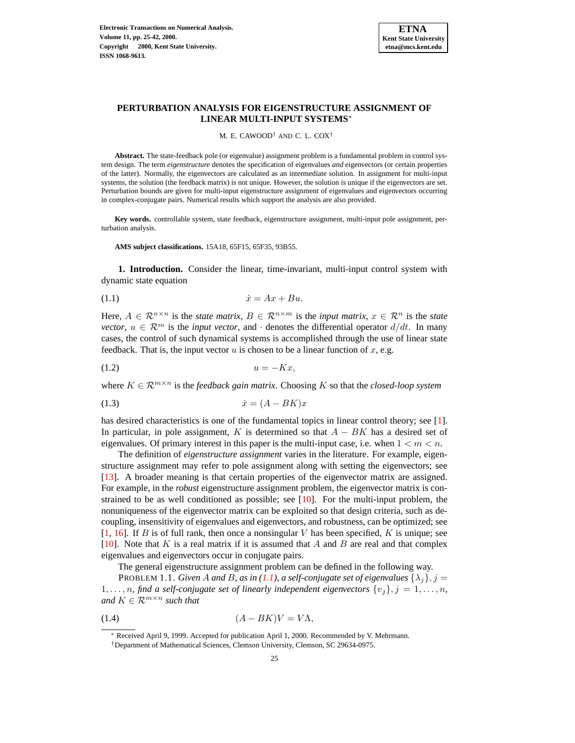

## **PERTURBATION ANALYSIS FOR EIGENSTRUCTURE ASSIGNMENT OF LINEAR MULTI-INPUT SYSTEMS**∗

#### M. E. CAWOOD† AND C. L. COX†

**Abstract.** The state-feedback pole (or eigenvalue) assignment problem is a fundamental problem in control system design. The term *eigenstructure* denotes the specification of eigenvalues *and* eigenvectors (or certain properties of the latter). Normally, the eigenvectors are calculated as an intermediate solution. In assignment for multi-input systems, the solution (the feedback matrix) is not unique. However, the solution is unique if the eigenvectors are set. Perturbation bounds are given for multi-input eigenstructure assignment of eigenvalues and eigenvectors occurring in complex-conjugate pairs. Numerical results which support the analysis are also provided.

**Key words.** controllable system, state feedback, eigenstructure assignment, multi-input pole assignment, perturbation analysis.

**AMS subject classifications.** 15A18, 65F15, 65F35, 93B55.

**1. Introduction.** Consider the linear, time-invariant, multi-input control system with dynamic state equation

<span id="page-0-0"></span>(1.1) x˙ = Ax + Bu.

Here,  $A \in \mathbb{R}^{n \times n}$  is the *state matrix*,  $B \in \mathbb{R}^{n \times m}$  is the *input matrix*,  $x \in \mathbb{R}^n$  is the *state vector*,  $u \in \mathbb{R}^m$  is the *input vector*, and  $\cdot$  denotes the differential operator  $d/dt$ . In many cases, the control of such dynamical systems is accomplished through the use of linear state feedback. That is, the input vector  $u$  is chosen to be a linear function of  $x$ , e.g.

$$
(1.2) \t\t u = -Kx,
$$

where  $K \in \mathcal{R}^{m \times n}$  is the *feedback gain matrix*. Choosing K so that the *closed-loop system* 

$$
(1.3) \qquad \qquad \dot{x} = (A - BK)x
$$

has desired characteristics is one of the fundamental topics in linear control theory; see [\[1\]](#page-16-0). In particular, in pole assignment, K is determined so that  $A - BK$  has a desired set of eigenvalues. Of primary interest in this paper is the multi-input case, i.e. when  $1 < m < n$ .

The definition of *eigenstructure assignment* varies in the literature. For example, eigenstructure assignment may refer to pole assignment along with setting the eigenvectors; see [\[13\]](#page-17-0). A broader meaning is that certain properties of the eigenvector matrix are assigned. For example, in the *robust* eigenstructure assignment problem, the eigenvector matrix is constrained to be as well conditioned as possible; see  $[10]$ . For the multi-input problem, the nonuniqueness of the eigenvector matrix can be exploited so that design criteria, such as decoupling, insensitivity of eigenvalues and eigenvectors, and robustness, can be optimized; see  $[1, 16]$  $[1, 16]$  $[1, 16]$ . If B is of full rank, then once a nonsingular V has been specified, K is unique; see [\[10\]](#page-16-1). Note that K is a real matrix if it is assumed that A and B are real and that complex eigenvalues and eigenvectors occur in conjugate pairs.

<span id="page-0-1"></span>The general eigenstructure assignment problem can be defined in the following way.

PROBLEM 1.1. *Given* A *and* B, as in [\(1.1\)](#page-0-0), a self-conjugate set of eigenvalues  $\{\lambda_i\}$ ,  $j =$ 1,..., n, find a self-conjugate set of linearly independent eigenvectors  $\{v_i\}$ ,  $j = 1, \ldots, n$ , *and*  $K \in \mathbb{R}^{m \times n}$  *such that* 

$$
(1.4) \t\t (A-BK)V = V\Lambda,
$$

<span id="page-0-2"></span><sup>∗</sup> Received April 9, 1999. Accepted for publication April 1, 2000. Recommended by V. Mehrmann.

<sup>†</sup>Department of Mathematical Sciences, Clemson University, Clemson, SC 29634-0975.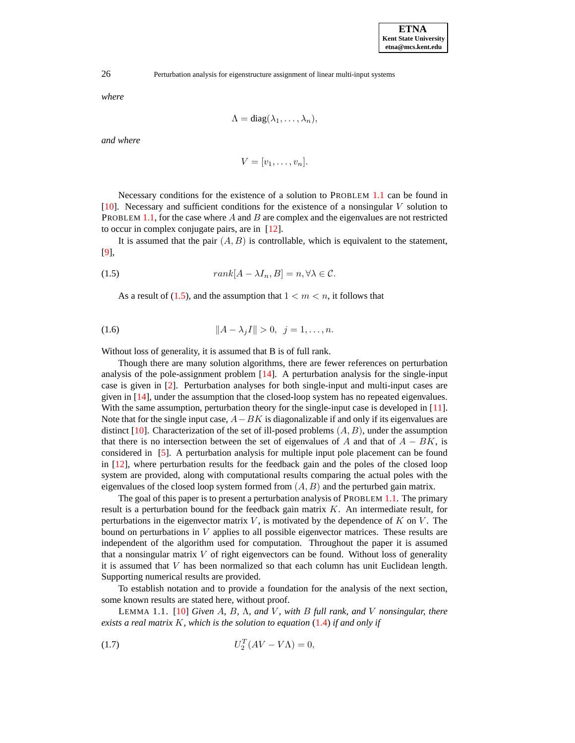*where*

$$
\Lambda = \mathrm{diag}(\lambda_1, \ldots, \lambda_n),
$$

*and where*

$$
V=[v_1,\ldots,v_n].
$$

Necessary conditions for the existence of a solution to PROBLEM [1.1](#page-0-1) can be found in [\[10\]](#page-16-1). Necessary and sufficient conditions for the existence of a nonsingular V solution to PROBLEM [1.1,](#page-0-1) for the case where A and B are complex and the eigenvalues are not restricted to occur in complex conjugate pairs, are in [\[12\]](#page-16-2).

It is assumed that the pair  $(A, B)$  is controllable, which is equivalent to the statement, [\[9\]](#page-16-3),

(1.5) 
$$
rank[A - \lambda I_n, B] = n, \forall \lambda \in \mathcal{C}.
$$

<span id="page-1-1"></span><span id="page-1-0"></span>As a result of [\(1.5\)](#page-1-0), and the assumption that  $1 < m < n$ , it follows that

(1.6) 
$$
||A - \lambda_j I|| > 0, \ \ j = 1, ..., n.
$$

Without loss of generality, it is assumed that B is of full rank.

Though there are many solution algorithms, there are fewer references on perturbation analysis of the pole-assignment problem [\[14\]](#page-17-2). A perturbation analysis for the single-input case is given in [\[2\]](#page-16-4). Perturbation analyses for both single-input and multi-input cases are given in [\[14\]](#page-17-2), under the assumption that the closed-loop system has no repeated eigenvalues. With the same assumption, perturbation theory for the single-input case is developed in [\[11\]](#page-16-5). Note that for the single input case,  $A-BK$  is diagonalizable if and only if its eigenvalues are distinct [\[10\]](#page-16-1). Characterization of the set of ill-posed problems  $(A, B)$ , under the assumption that there is no intersection between the set of eigenvalues of A and that of  $A - BK$ , is considered in [\[5\]](#page-16-6). A perturbation analysis for multiple input pole placement can be found in [\[12\]](#page-16-2), where perturbation results for the feedback gain and the poles of the closed loop system are provided, along with computational results comparing the actual poles with the eigenvalues of the closed loop system formed from  $(A, B)$  and the perturbed gain matrix.

The goal of this paper is to present a perturbation analysis of PROBLEM [1.1.](#page-0-1) The primary result is a perturbation bound for the feedback gain matrix K. An intermediate result, for perturbations in the eigenvector matrix  $V$ , is motivated by the dependence of  $K$  on  $V$ . The bound on perturbations in  $V$  applies to all possible eigenvector matrices. These results are independent of the algorithm used for computation. Throughout the paper it is assumed that a nonsingular matrix  $V$  of right eigenvectors can be found. Without loss of generality it is assumed that V has been normalized so that each column has unit Euclidean length. Supporting numerical results are provided.

<span id="page-1-3"></span>To establish notation and to provide a foundation for the analysis of the next section, some known results are stated here, without proof.

LEMMA 1.1. [\[10\]](#page-16-1) *Given* A*,* B*,* Λ*, and* V *, with* B *full rank, and* V *nonsingular, there exists a real matrix* K*, which is the solution to equation* [\(1.4\)](#page-0-2) *if and only if*

<span id="page-1-2"></span>
$$
(1.7)\qquad \qquad U_2^T(AV - V\Lambda) = 0,
$$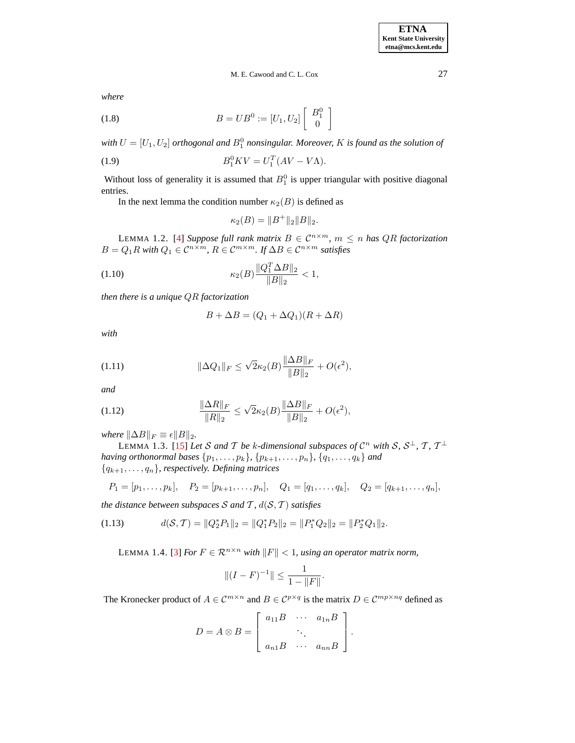## M. E. Cawood and C. L. Cox 27

*where*

<span id="page-2-0"></span>(1.8) 
$$
B = UB^0 := [U_1, U_2] \left[ \begin{array}{c} B_1^0 \\ 0 \end{array} \right]
$$

with  $U = [U_1, U_2]$  orthogonal and  $B_1^0$  nonsingular. Moreover,  $K$  is found as the solution of

(1.9) 
$$
B_1^0 K V = U_1^T (A V - V \Lambda).
$$

Without loss of generality it is assumed that  $B_1^0$  is upper triangular with positive diagonal entries.

In the next lemma the condition number  $\kappa_2(B)$  is defined as

$$
\kappa_2(B) = \|B^+\|_2 \|B\|_2.
$$

LEMMA 1.2. [\[4\]](#page-16-7) *Suppose full rank matrix*  $B \in C^{n \times m}$ ,  $m \le n$  *has QR factorization*  $B = Q_1 R$  with  $Q_1 \in C^{n \times m}$ ,  $R \in C^{m \times m}$ . If  $\Delta B \in C^{n \times m}$  satisfies

(1.10) 
$$
\kappa_2(B) \frac{\|Q_1^T \Delta B\|_2}{\|B\|_2} < 1,
$$

*then there is a unique* QR *factorization*

<span id="page-2-2"></span>
$$
B + \Delta B = (Q_1 + \Delta Q_1)(R + \Delta R)
$$

*with*

<span id="page-2-3"></span>(1.11) 
$$
\|\Delta Q_1\|_F \le \sqrt{2}\kappa_2(B)\frac{\|\Delta B\|_F}{\|B\|_2} + O(\epsilon^2),
$$

*and*

<span id="page-2-4"></span>(1.12) 
$$
\frac{\|\Delta R\|_F}{\|R\|_2} \le \sqrt{2}\kappa_2(B)\frac{\|\Delta B\|_F}{\|B\|_2} + O(\epsilon^2),
$$

*where*  $\|\Delta B\|_F \equiv \epsilon \|B\|_2$ .

LEMMA 1.3. [\[15\]](#page-17-3) Let S and T be k-dimensional subspaces of  $\mathcal{C}^n$  with S,  $\mathcal{S}^{\perp}$ , T,  $\mathcal{T}^{\perp}$ *having orthonormal bases*  $\{p_1, ..., p_k\}$ *,*  $\{p_{k+1}, ..., p_n\}$ *,*  $\{q_1, ..., q_k\}$  *and*  ${q_{k+1}, \ldots, q_n}$ *, respectively. Defining matrices* 

$$
P_1 = [p_1, \ldots, p_k], \quad P_2 = [p_{k+1}, \ldots, p_n], \quad Q_1 = [q_1, \ldots, q_k], \quad Q_2 = [q_{k+1}, \ldots, q_n],
$$

*the distance between subspaces*  $S$  *and*  $T$ *,*  $d(S, T)$  *satisfies* 

<span id="page-2-5"></span><span id="page-2-1"></span>
$$
(1.13) \t d(S, \mathcal{T}) = ||Q_2^* P_1||_2 = ||Q_1^* P_2||_2 = ||P_1^* Q_2||_2 = ||P_2^* Q_1||_2.
$$

LEMMA 1.4. [\[3\]](#page-16-8) *For*  $F \in \mathbb{R}^{n \times n}$  *with*  $||F|| < 1$ *, using an operator matrix norm,* 

$$
||(I - F)^{-1}|| \le \frac{1}{1 - ||F||}.
$$

The Kronecker product of  $A \in \mathcal{C}^{m \times n}$  and  $B \in \mathcal{C}^{p \times q}$  is the matrix  $D \in \mathcal{C}^{mp \times nq}$  defined as

$$
D = A \otimes B = \left[ \begin{array}{ccc} a_{11}B & \cdots & a_{1n}B \\ \vdots & \vdots & \vdots \\ a_{n1}B & \cdots & a_{nn}B \end{array} \right].
$$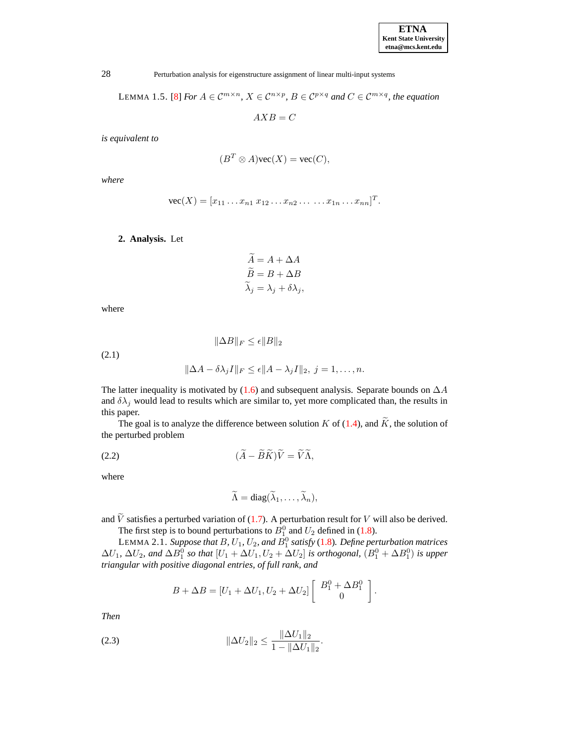LEMMA 1.5. [\[8\]](#page-16-9) *For*  $A \in \mathcal{C}^{m \times n}$ ,  $X \in \mathcal{C}^{n \times p}$ ,  $B \in \mathcal{C}^{p \times q}$  *and*  $C \in \mathcal{C}^{m \times q}$ , *the equation* 

 $AXB = C$ 

*is equivalent to*

$$
(B^T \otimes A) \text{vec}(X) = \text{vec}(C),
$$

*where*

$$
\text{vec}(X) = [x_{11} \dots x_{n1} \ x_{12} \dots x_{n2} \dots \dots x_{1n} \dots x_{nn}]^T.
$$

**2. Analysis.** Let

$$
\widetilde{A} = A + \Delta A \n\widetilde{B} = B + \Delta B \n\widetilde{\lambda}_j = \lambda_j + \delta \lambda_j,
$$

where

(2.1)

<span id="page-3-3"></span>
$$
\|\Delta A - \delta \lambda_j I\|_F \le \epsilon \|A - \lambda_j I\|_2, \ j = 1, \dots, n.
$$

 $\|\Delta B\|_F \leq \epsilon \|B\|_2$ 

The latter inequality is motivated by [\(1.6\)](#page-1-1) and subsequent analysis. Separate bounds on  $\Delta A$ and  $\delta\lambda_i$  would lead to results which are similar to, yet more complicated than, the results in this paper.

The goal is to analyze the difference between solution K of [\(1.4\)](#page-0-2), and  $\widetilde{K}$ , the solution of the perturbed problem

<span id="page-3-1"></span>
$$
\widetilde{(A - \widetilde{B}\widetilde{K})\widetilde{V}} = \widetilde{V}\widetilde{\Lambda},
$$

where

$$
\widetilde{\Lambda} = \mathrm{diag}(\widetilde{\lambda}_1, \ldots, \widetilde{\lambda}_n),
$$

and  $\tilde{V}$  satisfies a perturbed variation of [\(1.7\)](#page-1-2). A perturbation result for V will also be derived.

The first step is to bound perturbations to  $B_1^0$  and  $U_2$  defined in [\(1.8\)](#page-2-0).

LEMMA 2.1. *Suppose that B,*  $U_1$ *,*  $U_2$ *, and*  $B_1^0$  *satisfy [\(1.8\)](#page-2-0). Define perturbation matrices*  $\Delta U_1$ ,  $\Delta U_2$ , and  $\Delta B_1^0$  so that  $[U_1 + \Delta U_1, U_2 + \Delta U_2]$  is orthogonal,  $(B_1^0 + \Delta B_1^0)$  is upper *triangular with positive diagonal entries, of full rank, and*

$$
B + \Delta B = [U_1 + \Delta U_1, U_2 + \Delta U_2] \left[ \begin{array}{c} B_1^0 + \Delta B_1^0 \\ 0 \end{array} \right].
$$

*Then*

<span id="page-3-0"></span>(2.3) 
$$
\|\Delta U_2\|_2 \le \frac{\|\Delta U_1\|_2}{1 - \|\Delta U_1\|_2}.
$$

<span id="page-3-2"></span>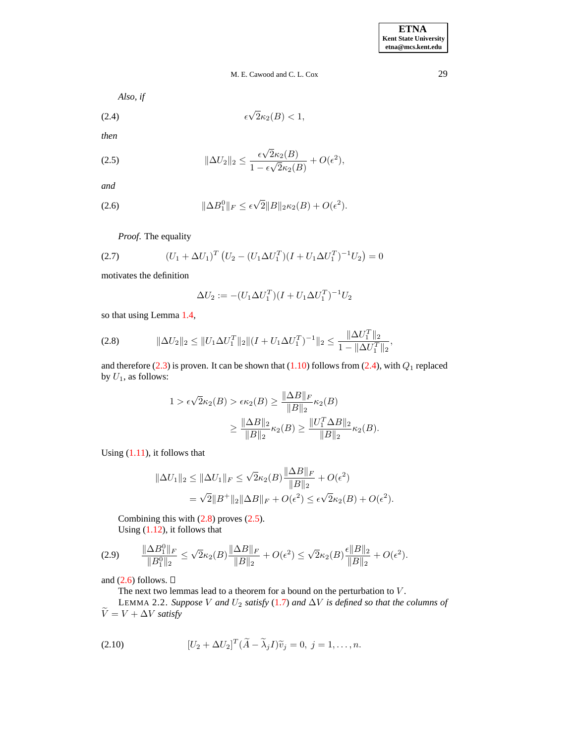<span id="page-4-0"></span>*Also, if*

$$
\epsilon \sqrt{2}\kappa_2(B) < 1,
$$

*then*

<span id="page-4-2"></span>(2.5) 
$$
\|\Delta U_2\|_2 \leq \frac{\epsilon \sqrt{2}\kappa_2(B)}{1 - \epsilon \sqrt{2}\kappa_2(B)} + O(\epsilon^2),
$$

*and*

<span id="page-4-3"></span>(2.6) 
$$
\|\Delta B_1^0\|_F \leq \epsilon \sqrt{2} \|B\|_2 \kappa_2(B) + O(\epsilon^2).
$$

*Proof*. The equality

(2.7) 
$$
(U_1 + \Delta U_1)^T (U_2 - (U_1 \Delta U_1^T)(I + U_1 \Delta U_1^T)^{-1} U_2) = 0
$$

motivates the definition

$$
\Delta U_2 := -(U_1 \Delta U_1^T)(I + U_1 \Delta U_1^T)^{-1} U_2
$$

so that using Lemma [1.4,](#page-2-1)

<span id="page-4-1"></span>
$$
(2.8) \t\t ||\Delta U_2||_2 \le ||U_1 \Delta U_1^T||_2 ||(I + U_1 \Delta U_1^T)^{-1}||_2 \le \frac{||\Delta U_1^T||_2}{1 - ||\Delta U_1^T||_2},
$$

and therefore [\(2.3\)](#page-3-0) is proven. It can be shown that [\(1.10\)](#page-2-2) follows from [\(2.4\)](#page-4-0), with  $Q_1$  replaced by  $U_1$ , as follows:

$$
1 > \epsilon \sqrt{2}\kappa_2(B) > \epsilon \kappa_2(B) \ge \frac{\|\Delta B\|_F}{\|B\|_2} \kappa_2(B)
$$

$$
\ge \frac{\|\Delta B\|_2}{\|B\|_2} \kappa_2(B) \ge \frac{\|U_1^T \Delta B\|_2}{\|B\|_2} \kappa_2(B).
$$

Using  $(1.11)$ , it follows that

$$
\|\Delta U_1\|_2 \le \|\Delta U_1\|_F \le \sqrt{2}\kappa_2(B)\frac{\|\Delta B\|_F}{\|B\|_2} + O(\epsilon^2)
$$
  
=  $\sqrt{2}\|B^+\|_2\|\Delta B\|_F + O(\epsilon^2) \le \epsilon\sqrt{2}\kappa_2(B) + O(\epsilon^2).$ 

Combining this with [\(2.8\)](#page-4-1) proves [\(2.5\)](#page-4-2). Using [\(1.12\)](#page-2-4), it follows that

$$
(2.9) \qquad \frac{\|\Delta B_1^0\|_F}{\|B_1^0\|_2} \le \sqrt{2}\kappa_2(B)\frac{\|\Delta B\|_F}{\|B\|_2} + O(\epsilon^2) \le \sqrt{2}\kappa_2(B)\frac{\epsilon\|B\|_2}{\|B\|_2} + O(\epsilon^2).
$$

and  $(2.6)$  follows.  $\square$ 

The next two lemmas lead to a theorem for a bound on the perturbation to  $V$ . LEMMA 2.2. *Suppose V* and  $U_2$  *satisfy* [\(1.7\)](#page-1-2) and  $\Delta V$  *is defined so that the columns of*  $\sim$ 

$$
V = V + \Delta V \text{ satisfy}
$$

<span id="page-4-4"></span>(2.10) 
$$
[U_2 + \Delta U_2]^T (\widetilde{A} - \widetilde{\lambda}_j I) \widetilde{v}_j = 0, j = 1, ..., n.
$$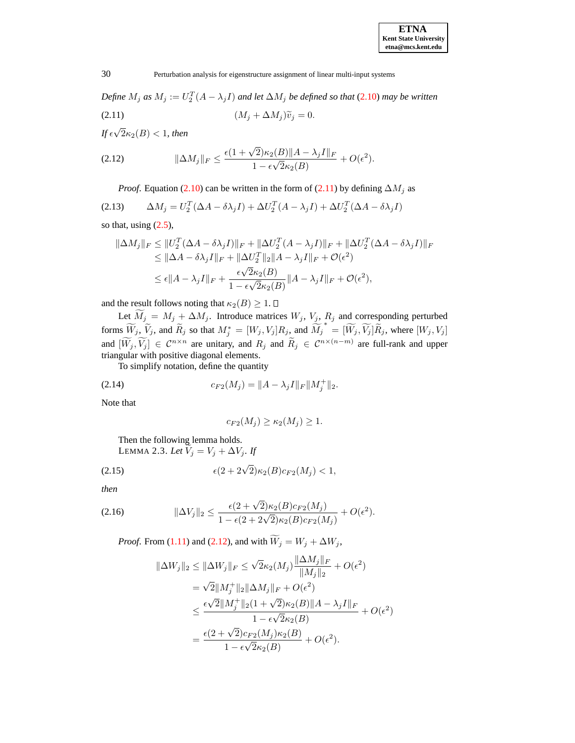*Define*  $M_j$  *as*  $M_j := U_2^T(A - \lambda_j I)$  *and let*  $\Delta M_j$  *be defined so that* [\(2.10\)](#page-4-4) *may be written* (2.11)  $(M_j + \Delta M_j)\tilde{v}_j = 0.$ 

<span id="page-5-0"></span> $\int f \epsilon \sqrt{2\kappa_2(B)} < 1$ , then

<span id="page-5-1"></span>(2.12) 
$$
\|\Delta M_j\|_F \leq \frac{\epsilon (1+\sqrt{2})\kappa_2(B)\|A-\lambda_j I\|_F}{1-\epsilon\sqrt{2}\kappa_2(B)} + O(\epsilon^2).
$$

*Proof.* Equation [\(2.10\)](#page-4-4) can be written in the form of [\(2.11\)](#page-5-0) by defining  $\Delta M_i$  as

(2.13) 
$$
\Delta M_j = U_2^T (\Delta A - \delta \lambda_j I) + \Delta U_2^T (A - \lambda_j I) + \Delta U_2^T (\Delta A - \delta \lambda_j I)
$$

so that, using  $(2.5)$ ,

$$
\|\Delta M_j\|_F \le \|U_2^T(\Delta A - \delta \lambda_j I)\|_F + \|\Delta U_2^T(A - \lambda_j I)\|_F + \|\Delta U_2^T(\Delta A - \delta \lambda_j I)\|_F
$$
  
\n
$$
\le \|\Delta A - \delta \lambda_j I\|_F + \|\Delta U_2^T\|_2 \|A - \lambda_j I\|_F + \mathcal{O}(\epsilon^2)
$$
  
\n
$$
\le \epsilon \|A - \lambda_j I\|_F + \frac{\epsilon \sqrt{2} \kappa_2(B)}{1 - \epsilon \sqrt{2} \kappa_2(B)} \|A - \lambda_j I\|_F + \mathcal{O}(\epsilon^2),
$$

and the result follows noting that  $\kappa_2(B) \geq 1$ .  $\square$ 

Let  $\widetilde{M}_j = M_j + \Delta M_j$ . Introduce matrices  $W_j$ ,  $V_j$ ,  $R_j$  and corresponding perturbed forms  $\widetilde{W}_j$ ,  $\widetilde{V}_j$ , and  $\widetilde{R}_j$  so that  $M_j^* = [W_j, V_j]R_j$ , and  $\widetilde{M_j}^* = [\widetilde{W}_j, \widetilde{V}_j]\widetilde{R}_j$ , where  $[W_j, V_j]$ and  $[W_j, V_j] \in C^{n \times n}$  are unitary, and  $R_j$  and  $R_j \in C^{n \times (n-m)}$  are full-rank and upper triangular with positive diagonal elements.

<span id="page-5-4"></span>To simplify notation, define the quantity

(2.14) 
$$
c_{F2}(M_j) = ||A - \lambda_j I||_F ||M_j^+||_2.
$$

Note that

$$
c_{F2}(M_j) \ge \kappa_2(M_j) \ge 1.
$$

<span id="page-5-3"></span>Then the following lemma holds. LEMMA 2.3. *Let*  $\widetilde{V}_j = V_j + \Delta V_j$ *. If* 

<span id="page-5-2"></span>(2.15) 
$$
\epsilon (2 + 2\sqrt{2}) \kappa_2(B) c_{F2}(M_j) < 1,
$$

*then*

(2.16) 
$$
\|\Delta V_j\|_2 \leq \frac{\epsilon (2 + \sqrt{2}) \kappa_2(B) c_{F2}(M_j)}{1 - \epsilon (2 + 2\sqrt{2}) \kappa_2(B) c_{F2}(M_j)} + O(\epsilon^2).
$$

*Proof.* From [\(1.11\)](#page-2-3) and [\(2.12\)](#page-5-1), and with  $\widetilde{W}_j = W_j + \Delta W_j$ ,

$$
\|\Delta W_j\|_2 \le \|\Delta W_j\|_F \le \sqrt{2}\kappa_2(M_j)\frac{\|\Delta M_j\|_F}{\|M_j\|_2} + O(\epsilon^2)
$$
  
=  $\sqrt{2}\|M_j^+\|_2\|\Delta M_j\|_F + O(\epsilon^2)$   
 $\le \frac{\epsilon\sqrt{2}\|M_j^+\|_2(1+\sqrt{2})\kappa_2(B)\|A-\lambda_jI\|_F}{1-\epsilon\sqrt{2}\kappa_2(B)} + O(\epsilon^2)$   
=  $\frac{\epsilon(2+\sqrt{2})c_{F2}(M_j)\kappa_2(B)}{1-\epsilon\sqrt{2}\kappa_2(B)} + O(\epsilon^2).$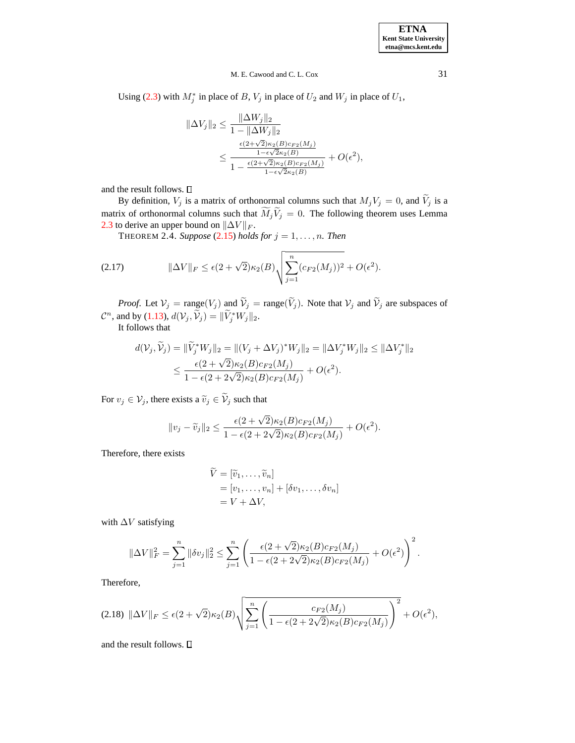Using [\(2.3\)](#page-3-0) with  $M_j^*$  in place of B,  $V_j$  in place of  $U_2$  and  $W_j$  in place of  $U_1$ ,

$$
\|\Delta V_j\|_2 \le \frac{\|\Delta W_j\|_2}{1 - \|\Delta W_j\|_2} \le \frac{\frac{\epsilon (2 + \sqrt{2})\kappa_2(B)c_{F2}(M_j)}{1 - \frac{\epsilon (2 + \sqrt{2})\kappa_2(B)c_{F2}(M_j)}{1 - \frac{\epsilon (2 + \sqrt{2})\kappa_2(B)c_{F2}(M_j)}{1 - \epsilon \sqrt{2}\kappa_2(B)}} + O(\epsilon^2),
$$

and the result follows.  $\square$ 

<span id="page-6-2"></span>By definition,  $V_j$  is a matrix of orthonormal columns such that  $M_jV_j = 0$ , and  $\tilde{V}_j$  is a matrix of orthonormal columns such that  $\widetilde{M}_j \widetilde{V}_j = 0$ . The following theorem uses Lemma [2.3](#page-5-2) to derive an upper bound on  $\|\Delta V\|_F$ .

THEOREM 2.4. *Suppose* [\(2.15\)](#page-5-3) *holds* for  $j = 1, \ldots, n$ *. Then* 

<span id="page-6-0"></span>(2.17) 
$$
\|\Delta V\|_F \le \epsilon (2+\sqrt{2})\kappa_2(B)\sqrt{\sum_{j=1}^n (c_{F2}(M_j))^2 + O(\epsilon^2)}.
$$

*Proof.* Let  $V_j = \text{range}(V_j)$  and  $V_j = \text{range}(V_j)$ . Note that  $V_j$  and  $V_j$  are subspaces of  $\mathcal{C}^n$ , and by [\(1.13\)](#page-2-5),  $d(\mathcal{V}_j, \widetilde{\mathcal{V}}_j) = ||\widetilde{V}_j^* W_j||_2$ .

It follows that

$$
d(\mathcal{V}_j, \hat{\mathcal{V}}_j) = \|\hat{V}_j^* W_j\|_2 = \|(V_j + \Delta V_j)^* W_j\|_2 = \|\Delta V_j^* W_j\|_2 \le \|\Delta V_j^*\|_2
$$
  

$$
\le \frac{\epsilon(2 + \sqrt{2})\kappa_2(B)c_{F2}(M_j)}{1 - \epsilon(2 + 2\sqrt{2})\kappa_2(B)c_{F2}(M_j)} + O(\epsilon^2).
$$

For  $v_j \in V_j$ , there exists a  $\widetilde{v}_j \in \widetilde{V}_j$  such that

$$
||v_j - \widetilde{v}_j||_2 \le \frac{\epsilon (2 + \sqrt{2})\kappa_2(B)c_{F2}(M_j)}{1 - \epsilon (2 + 2\sqrt{2})\kappa_2(B)c_{F2}(M_j)} + O(\epsilon^2).
$$

Therefore, there exists

$$
V = [\widetilde{v}_1, \dots, \widetilde{v}_n]
$$
  
=  $[v_1, \dots, v_n] + [\delta v_1, \dots, \delta v_n]$   
=  $V + \Delta V$ ,

with  $\Delta V$  satisfying

$$
\|\Delta V\|_F^2 = \sum_{j=1}^n \|\delta v_j\|_2^2 \le \sum_{j=1}^n \left( \frac{\epsilon(2+\sqrt{2})\kappa_2(B)c_{F2}(M_j)}{1-\epsilon(2+2\sqrt{2})\kappa_2(B)c_{F2}(M_j)} + O(\epsilon^2) \right)^2.
$$

Therefore,

$$
(2.18) \ \|\Delta V\|_{F} \leq \epsilon (2+\sqrt{2})\kappa_{2}(B)\sqrt{\sum_{j=1}^{n}\left(\frac{c_{F2}(M_{j})}{1-\epsilon(2+2\sqrt{2})\kappa_{2}(B)c_{F2}(M_{j})}\right)^{2}}+O(\epsilon^{2}),
$$

<span id="page-6-1"></span>and the result follows.  $\square$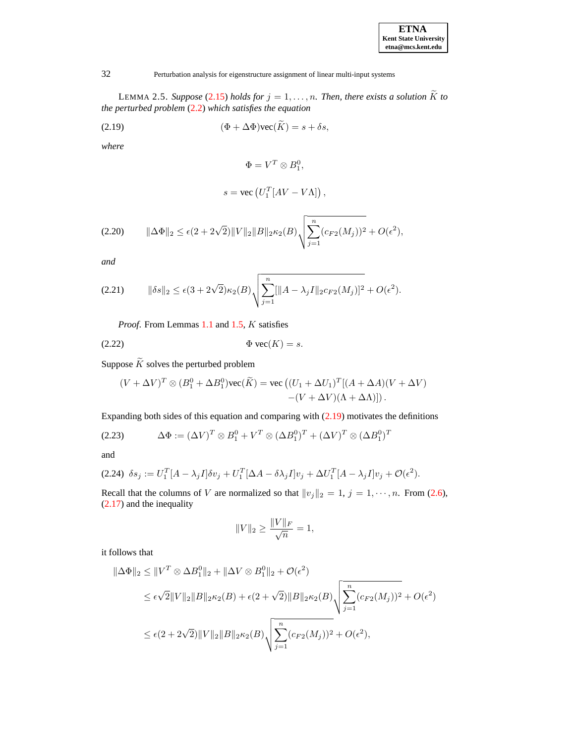| <b>ETNA</b>                  |  |  |  |  |
|------------------------------|--|--|--|--|
| <b>Kent State University</b> |  |  |  |  |
| etna@mcs.kent.edu            |  |  |  |  |

LEMMA 2.5. *Suppose* [\(2.15\)](#page-5-3) *holds for*  $j = 1, ..., n$ *. Then, there exists a solution*  $\widetilde{K}$  *to the perturbed problem* [\(2.2\)](#page-3-1) *which satisfies the equation*

<span id="page-7-0"></span>(2.19) 
$$
(\Phi + \Delta \Phi)\text{vec}(\widetilde{K}) = s + \delta s,
$$

*where*

$$
\Phi = V^T \otimes B_1^0,
$$
  

$$
s = \text{vec} (U_1^T [AV - VA]),
$$

<span id="page-7-1"></span>
$$
(2.20) \qquad \|\Delta \Phi\|_2 \le \epsilon (2 + 2\sqrt{2})\|V\|_2 \|B\|_2 \kappa_2(B) \sqrt{\sum_{j=1}^n (c_{F2}(M_j))^2} + O(\epsilon^2),
$$

*and*

<span id="page-7-2"></span>
$$
(2.21) \qquad \|\delta s\|_2 \leq \epsilon (3 + 2\sqrt{2})\kappa_2(B)\sqrt{\sum_{j=1}^n[\|A - \lambda_j I\|_2 c_{F2}(M_j)]^2} + O(\epsilon^2).
$$

<span id="page-7-3"></span>*Proof*. From Lemmas [1.1](#page-1-3) and [1.5,](#page-3-2) K satisfies

$$
(2.22) \t\t \Phi \text{ vec}(K) = s.
$$

Suppose  $\widetilde{K}$  solves the perturbed problem

$$
(V + \Delta V)^T \otimes (B_1^0 + \Delta B_1^0) \text{vec}(\widetilde{K}) = \text{vec}((U_1 + \Delta U_1)^T [(A + \Delta A)(V + \Delta V) - (V + \Delta V)(\Delta + \Delta \Lambda)])
$$

Expanding both sides of this equation and comparing with  $(2.19)$  motivates the definitions

$$
(2.23) \qquad \Delta \Phi := (\Delta V)^T \otimes B_1^0 + V^T \otimes (\Delta B_1^0)^T + (\Delta V)^T \otimes (\Delta B_1^0)^T
$$

and

$$
(2.24) \delta s_j := U_1^T [A - \lambda_j I] \delta v_j + U_1^T [\Delta A - \delta \lambda_j I] v_j + \Delta U_1^T [A - \lambda_j I] v_j + \mathcal{O}(\epsilon^2).
$$

Recall that the columns of V are normalized so that  $||v_j||_2 = 1$ ,  $j = 1, \dots, n$ . From [\(2.6\)](#page-4-3), [\(2.17\)](#page-6-0) and the inequality

$$
||V||_2 \ge \frac{||V||_F}{\sqrt{n}} = 1,
$$

it follows that

$$
\|\Delta \Phi\|_2 \le \|V^T \otimes \Delta B_1^0\|_2 + \|\Delta V \otimes B_1^0\|_2 + \mathcal{O}(\epsilon^2)
$$
  
\n
$$
\le \epsilon \sqrt{2} \|V\|_2 \|B\|_2 \kappa_2(B) + \epsilon (2 + \sqrt{2}) \|B\|_2 \kappa_2(B) \sqrt{\sum_{j=1}^n (c_{F2}(M_j))^2 + O(\epsilon^2)}
$$
  
\n
$$
\le \epsilon (2 + 2\sqrt{2}) \|V\|_2 \|B\|_2 \kappa_2(B) \sqrt{\sum_{j=1}^n (c_{F2}(M_j))^2 + O(\epsilon^2)},
$$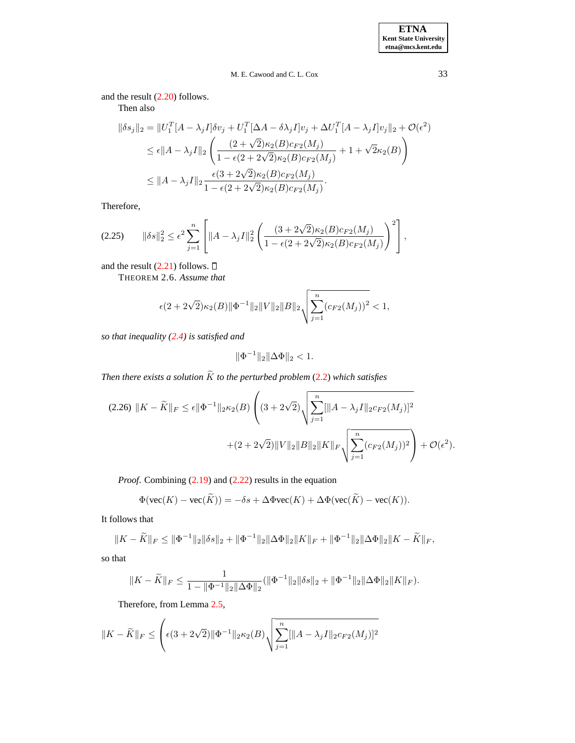and the result [\(2.20\)](#page-7-1) follows.

Then also

$$
\|\delta s_j\|_2 = \|U_1^T[A - \lambda_j I]\delta v_j + U_1^T[\Delta A - \delta \lambda_j I]v_j + \Delta U_1^T[A - \lambda_j I]v_j\|_2 + \mathcal{O}(\epsilon^2)
$$
  
\n
$$
\leq \epsilon \|A - \lambda_j I\|_2 \left( \frac{(2 + \sqrt{2})\kappa_2(B)c_{F2}(M_j)}{1 - \epsilon(2 + 2\sqrt{2})\kappa_2(B)c_{F2}(M_j)} + 1 + \sqrt{2}\kappa_2(B) \right)
$$
  
\n
$$
\leq \|A - \lambda_j I\|_2 \frac{\epsilon(3 + 2\sqrt{2})\kappa_2(B)c_{F2}(M_j)}{1 - \epsilon(2 + 2\sqrt{2})\kappa_2(B)c_{F2}(M_j)}.
$$

Therefore,

$$
(2.25) \qquad \|\delta s\|_2^2 \le \epsilon^2 \sum_{j=1}^n \left[ \|A - \lambda_j I\|_2^2 \left( \frac{(3 + 2\sqrt{2})\kappa_2(B)c_{F2}(M_j)}{1 - \epsilon(2 + 2\sqrt{2})\kappa_2(B)c_{F2}(M_j)} \right)^2 \right],
$$

<span id="page-8-1"></span>and the result  $(2.21)$  follows.  $\Box$ 

THEOREM 2.6. *Assume that*

$$
\epsilon(2+2\sqrt{2})\kappa_2(B)\|\Phi^{-1}\|_2\|V\|_2\|B\|_2\sqrt{\sum_{j=1}^n(c_{F2}(M_j))^2}<1,
$$

*so that inequality [\(2.4\)](#page-4-0) is satisfied and*

$$
\|\Phi^{-1}\|_2 \|\Delta\Phi\|_2 < 1.
$$

<span id="page-8-0"></span>*Then there exists a solution*  $\widetilde{K}$  *to the perturbed problem* [\(2.2\)](#page-3-1) *which satisfies* 

$$
(2.26)\|K - \widetilde{K}\|_{F} \le \epsilon \|\Phi^{-1}\|_{2}\kappa_{2}(B)\left((3 + 2\sqrt{2})\sqrt{\sum_{j=1}^{n}[\|A - \lambda_{j}I\|_{2}c_{F2}(M_{j})]^{2}}\right) + (2 + 2\sqrt{2})\|V\|_{2}\|B\|_{2}\|K\|_{F}\sqrt{\sum_{j=1}^{n}(c_{F2}(M_{j}))^{2}}\right) + \mathcal{O}(\epsilon^{2}).
$$

*Proof.* Combining [\(2.19\)](#page-7-0) and [\(2.22\)](#page-7-3) results in the equation

$$
\Phi(\text{vec}(K) - \text{vec}(\widetilde{K})) = -\delta s + \Delta \Phi \text{vec}(K) + \Delta \Phi(\text{vec}(\widetilde{K}) - \text{vec}(K)).
$$

It follows that

$$
||K - \widetilde{K}||_F \le ||\Phi^{-1}||_2 ||\delta s||_2 + ||\Phi^{-1}||_2 ||\Delta \Phi||_2 ||K||_F + ||\Phi^{-1}||_2 ||\Delta \Phi||_2 ||K - \widetilde{K}||_F,
$$

so that

$$
||K - \widetilde{K}||_F \le \frac{1}{1 - ||\Phi^{-1}||_2 ||\Delta\Phi||_2} (||\Phi^{-1}||_2 ||\delta s||_2 + ||\Phi^{-1}||_2 ||\Delta\Phi||_2 ||K||_F).
$$

Therefore, from Lemma [2.5,](#page-6-1)

$$
||K - \widetilde{K}||_F \le \left(\epsilon(3 + 2\sqrt{2})||\Phi^{-1}||_2 \kappa_2(B) \sqrt{\sum_{j=1}^n [||A - \lambda_j I||_2 c_{F2}(M_j)]^2}\right)
$$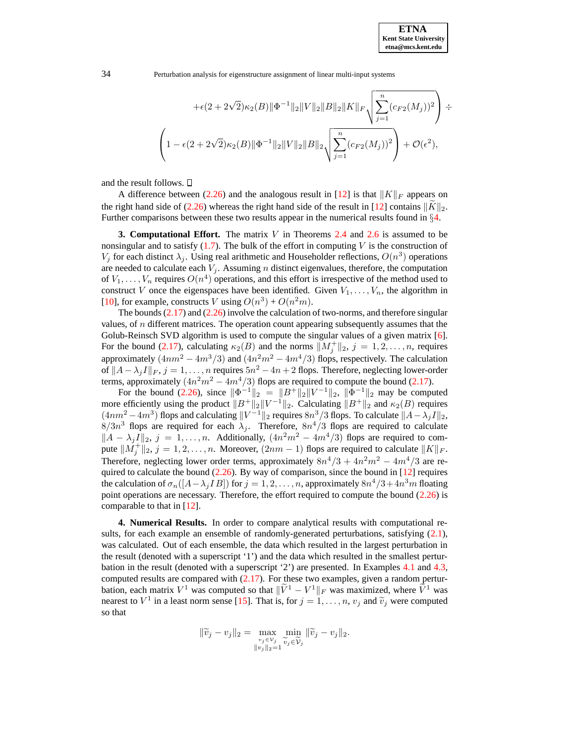34 Perturbation analysis for eigenstructure assignment of linear multi-input systems

$$
+\epsilon(2+2\sqrt{2})\kappa_2(B)\|\Phi^{-1}\|_2\|V\|_2\|B\|_2\|K\|_F\sqrt{\sum_{j=1}^n(c_{F2}(M_j))^2}
$$

$$
\left(1-\epsilon(2+2\sqrt{2})\kappa_2(B)\|\Phi^{-1}\|_2\|V\|_2\|B\|_2\sqrt{\sum_{j=1}^n(c_{F2}(M_j))^2}\right)+\mathcal{O}(\epsilon^2),
$$

and the result follows.

A difference between [\(2.26\)](#page-8-0) and the analogous result in [\[12\]](#page-16-2) is that  $||K||_F$  appears on the right hand side of [\(2.26\)](#page-8-0) whereas the right hand side of the result in [\[12\]](#page-16-2) contains  $\|\tilde{K}\|_2$ . Further comparisons between these two results appear in the numerical results found in §[4.](#page-9-0)

**3. Computational Effort.** The matrix V in Theorems [2.4](#page-6-2) and [2.6](#page-8-1) is assumed to be nonsingular and to satisfy  $(1.7)$ . The bulk of the effort in computing V is the construction of  $V_j$  for each distinct  $\lambda_j$ . Using real arithmetic and Householder reflections,  $O(n^3)$  operations are needed to calculate each  $V_i$ . Assuming *n* distinct eigenvalues, therefore, the computation of  $V_1, \ldots, V_n$  requires  $O(n^4)$  operations, and this effort is irrespective of the method used to construct V once the eigenspaces have been identified. Given  $V_1, \ldots, V_n$ , the algorithm in [\[10\]](#page-16-1), for example, constructs V using  $O(n^3) + O(n^2m)$ .

The bounds  $(2.17)$  and  $(2.26)$  involve the calculation of two-norms, and therefore singular values, of  $n$  different matrices. The operation count appearing subsequently assumes that the Golub-Reinsch SVD algorithm is used to compute the singular values of a given matrix [\[6\]](#page-16-10). For the bound [\(2.17\)](#page-6-0), calculating  $\kappa_2(B)$  and the norms  $||M_j^+||_2$ ,  $j = 1, 2, ..., n$ , requires approximately  $(4nm^2 - 4m^3/3)$  and  $(4n^2m^2 - 4m^4/3)$  flops, respectively. The calculation of  $||A - \lambda_j I||_F$ ,  $j = 1, ..., n$  requires  $5n^2 - 4n + 2$  flops. Therefore, neglecting lower-order terms, approximately  $(4n^2m^2 - 4m^4/3)$  flops are required to compute the bound [\(2.17\)](#page-6-0).

For the bound [\(2.26\)](#page-8-0), since  $\|\Phi^{-1}\|_2 = \|B^+\|_2 \|V^{-1}\|_2$ ,  $\|\Phi^{-1}\|_2$  may be computed more efficiently using the product  $||B^+||_2||V^{-1}||_2$ . Calculating  $||B^+||_2$  and  $\kappa_2(B)$  requires  $(4nm^2 - 4m^3)$  flops and calculating  $||V^{-1}||_2$  requires  $8n^3/3$  flops. To calculate  $||A - \lambda_j I||_2$ ,  $8/3n^3$  flops are required for each  $\lambda_j$ . Therefore,  $8n^4/3$  flops are required to calculate  $||A - \lambda_j I||_2$ ,  $j = 1, ..., n$ . Additionally,  $(4n^2m^2 - 4m^4/3)$  flops are required to compute  $||M_j^+||_2$ ,  $j = 1, 2, ..., n$ . Moreover,  $(2nm - 1)$  flops are required to calculate  $||K||_F$ . Therefore, neglecting lower order terms, approximately  $8n^4/3 + 4n^2m^2 - 4m^4/3$  are required to calculate the bound  $(2.26)$ . By way of comparison, since the bound in [\[12\]](#page-16-2) requires the calculation of  $\sigma_n([A - \lambda_j IB])$  for  $j = 1, 2, ..., n$ , approximately  $8n^4/3 + 4n^3m$  floating point operations are necessary. Therefore, the effort required to compute the bound [\(2.26\)](#page-8-0) is comparable to that in [\[12\]](#page-16-2).

<span id="page-9-0"></span>**4. Numerical Results.** In order to compare analytical results with computational results, for each example an ensemble of randomly-generated perturbations, satisfying  $(2.1)$ , was calculated. Out of each ensemble, the data which resulted in the largest perturbation in the result (denoted with a superscript '1') and the data which resulted in the smallest perturbation in the result (denoted with a superscript '2') are presented. In Examples [4.1](#page-10-0) and [4.3,](#page-12-0) computed results are compared with  $(2.17)$ . For these two examples, given a random perturbation, each matrix  $V^1$  was computed so that  $\|\tilde{V}^1 - V^1\|_F$  was maximized, where  $\tilde{V}^1$  was nearest to  $V^1$  in a least norm sense [\[15\]](#page-17-3). That is, for  $j = 1, ..., n$ ,  $v_j$  and  $\tilde{v}_j$  were computed so that

$$
\|\widetilde{v}_j - v_j\|_2 = \max_{\substack{v_j \in \mathcal{V}_j \\ \|v_j\|_2 = 1}} \min_{\widetilde{v}_j \in \widetilde{\mathcal{V}}_j} \|\widetilde{v}_j - v_j\|_2.
$$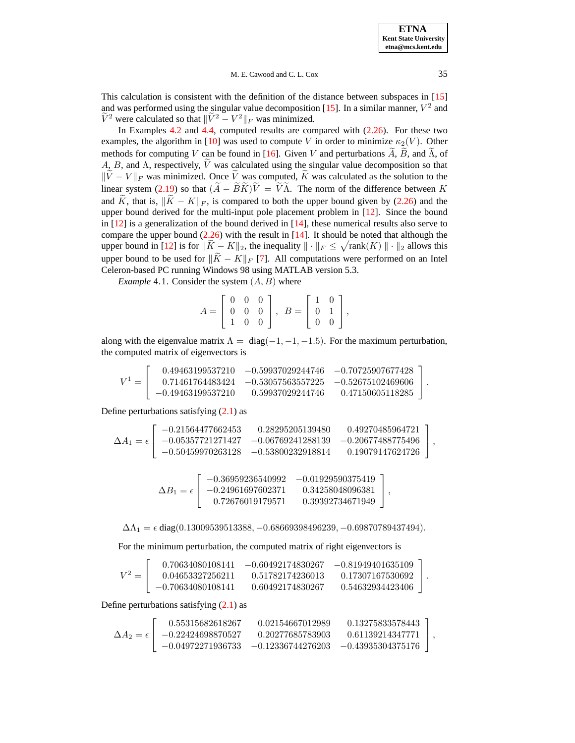#### M. E. Cawood and C. L. Cox 35

This calculation is consistent with the definition of the distance between subspaces in [\[15\]](#page-17-3) and was performed using the singular value decomposition [\[15\]](#page-17-3). In a similar manner,  $V^2$  and  $\tilde{V}^2$  were calculated so that  $\|\tilde{V}^2 - V^2\|_F$  was minimized.

In Examples [4.2](#page-11-0) and [4.4,](#page-14-0) computed results are compared with [\(2.26\)](#page-8-0). For these two examples, the algorithm in [\[10\]](#page-16-1) was used to compute V in order to minimize  $\kappa_2(V)$ . Other methods for computing V can be found in [\[16\]](#page-17-1). Given V and perturbations  $\widetilde{A}$ ,  $\widetilde{B}$ , and  $\widetilde{\Lambda}$ , of A, B, and  $\Lambda$ , respectively,  $\tilde{V}$  was calculated using the singular value decomposition so that  $\|\tilde{\vec{V}} - V\|_F$  was minimized. Once  $\tilde{V}$  was computed,  $\tilde{K}$  was calculated as the solution to the linear system [\(2.19\)](#page-7-0) so that  $(\widetilde{A} - \widetilde{B}\widetilde{K})\widetilde{V} = \widetilde{V}\widetilde{\Lambda}$ . The norm of the difference between K and  $\widetilde{K}$ , that is,  $\|\widetilde{K} - K\|_F$ , is compared to both the upper bound given by [\(2.26\)](#page-8-0) and the upper bound derived for the multi-input pole placement problem in  $[12]$ . Since the bound in  $[12]$  is a generalization of the bound derived in  $[14]$ , these numerical results also serve to compare the upper bound  $(2.26)$  with the result in [\[14\]](#page-17-2). It should be noted that although the upper bound in [\[12\]](#page-16-2) is for  $\|\widetilde{K} - K\|_2$ , the inequality  $\|\cdot\|_F \leq \sqrt{\text{rank}(K)} \|\cdot\|_2$  allows this upper bound to be used for  $\|\widetilde{K} - K\|_F$  [\[7\]](#page-16-11). All computations were performed on an Intel Celeron-based PC running Windows 98 using MATLAB version 5.3.

<span id="page-10-0"></span>*Example* 4.1. Consider the system  $(A, B)$  where

$$
A = \left[ \begin{array}{ccc} 0 & 0 & 0 \\ 0 & 0 & 0 \\ 1 & 0 & 0 \end{array} \right], \ B = \left[ \begin{array}{cc} 1 & 0 \\ 0 & 1 \\ 0 & 0 \end{array} \right],
$$

along with the eigenvalue matrix  $\Lambda = \text{diag}(-1, -1, -1.5)$ . For the maximum perturbation, the computed matrix of eigenvectors is

|         |                     | $0.49463199537210 -0.59937029244746 -0.70725907677428$ |                  |  |
|---------|---------------------|--------------------------------------------------------|------------------|--|
| $V^1 =$ |                     | $0.71461764483424 -0.53057563557225 -0.52675102469606$ |                  |  |
|         | $-0.49463199537210$ | 0.59937029244746                                       | 0.47150605118285 |  |

Define perturbations satisfying [\(2.1\)](#page-3-3) as

$$
\Delta A_1=\epsilon\left[\begin{array}{ccc} -0.21564477662453 & 0.28295205139480 & 0.49270485964721 \\ -0.05357721271427 & -0.06769241288139 & -0.20677488775496 \\ -0.50459970263128 & -0.53800232918814 & 0.19079147624726 \end{array}\right],
$$

$$
\Delta B_1 = \epsilon \left[\begin{array}{ccc} -0.36959236540992 & -0.01929590375419 \\ -0.24961697602371 & 0.34258048096381 \\ 0.72676019179571 & 0.39392734671949 \end{array}\right],
$$

 $\Delta\Lambda_1 = \epsilon \text{ diag}(0.13009539513388, -0.68669398496239, -0.69870789437494).$ 

For the minimum perturbation, the computed matrix of right eigenvectors is

|         | 0.70634080108141    | $-0.60492174830267$ | $-0.81949401635109$ |  |
|---------|---------------------|---------------------|---------------------|--|
| $V^2 =$ | 0.04653327256211    | 0.51782174236013    | 0.17307167530692    |  |
|         | $-0.70634080108141$ | 0.60492174830267    | 0.54632934423406    |  |

Define perturbations satisfying [\(2.1\)](#page-3-3) as

|                           | 0.55315682618267    | 0.02154667012989 | 0.13275833578443                                        |  |
|---------------------------|---------------------|------------------|---------------------------------------------------------|--|
| $\Delta A_2 = \epsilon +$ | $-0.22424698870527$ | 0.20277685783903 | $0.61139214347771$  ,                                   |  |
|                           |                     |                  | $-0.04972271936733 -0.12336744276203 -0.43935304375176$ |  |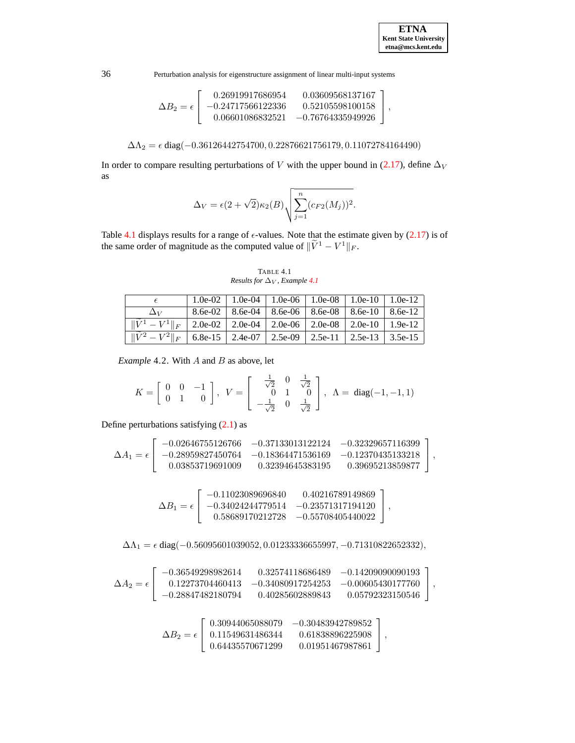36 Perturbation analysis for eigenstructure assignment of linear multi-input systems

$$
\Delta B_2 = \epsilon \left[\begin{array}{ccc} 0.26919917686954 & 0.03609568137167\\ -0.24717566122336 & 0.52105598100158\\ 0.06601086832521 & -0.76764335949926 \end{array}\right],
$$

$$
\Delta\Lambda_2 = \epsilon \operatorname{diag}(-0.36126442754700, 0.22876621756179, 0.11072784164490)
$$

In order to compare resulting perturbations of V with the upper bound in [\(2.17\)](#page-6-0), define  $\Delta_V$ as

$$
\Delta_V = \epsilon (2 + \sqrt{2}) \kappa_2(B) \sqrt{\sum_{j=1}^n (c_{F2}(M_j))^2}.
$$

Table [4.1](#page-11-1) displays results for a range of  $\epsilon$ -values. Note that the estimate given by [\(2.17\)](#page-6-0) is of the same order of magnitude as the computed value of  $\|\tilde{V}^1 - V^1\|_F$ .

TABLE 4.1 *Results for*  $\Delta$ <sub>*V</sub>*, *Example* [4.1](#page-10-0)</sub>

<span id="page-11-1"></span>

|                                                                                                                                              |  |  | 1.0e-02   1.0e-04   1.0e-06   1.0e-08   1.0e-10   1.0e-12   |  |
|----------------------------------------------------------------------------------------------------------------------------------------------|--|--|-------------------------------------------------------------|--|
| $\Delta$ v                                                                                                                                   |  |  | $8.6e-02$   8.6e-04   8.6e-06   8.6e-08   8.6e-10   8.6e-12 |  |
| $\  W^1 - V^1 \ _F$   2.0e-02   2.0e-04   2.0e-06   2.0e-08   2.0e-10   1.9e-12                                                              |  |  |                                                             |  |
| $\left  \begin{array}{c c c c c c} \hline \sqrt{2} & -V^2 \end{array} \right _F$   6.8e-15   2.4e-07   2.5e-09   2.5e-11   2.5e-13   3.5e-15 |  |  |                                                             |  |

<span id="page-11-0"></span>*Example* 4.2. With A and B as above, let

$$
K = \left[ \begin{array}{ccc} 0 & 0 & -1 \\ 0 & 1 & 0 \end{array} \right], \;\; V = \left[ \begin{array}{ccc} \frac{1}{\sqrt{2}} & 0 & \frac{1}{\sqrt{2}} \\ 0 & 1 & 0 \\ -\frac{1}{\sqrt{2}} & 0 & \frac{1}{\sqrt{2}} \end{array} \right], \;\; \Lambda = \; \text{diag}(-1,-1,1)
$$

Define perturbations satisfying  $(2.1)$  as

$$
\Delta A_1=\epsilon\left[\begin{array}{ccc} -0.02646755126766 & -0.37133013122124 & -0.32329657116399\\ -0.28959827450764 & -0.18364471536169 & -0.12370435133218\\ 0.03853719691009 & 0.32394645383195 & 0.39695213859877 \end{array}\right],
$$

$$
\Delta B_1 = \epsilon \left[\begin{array}{ccc} -0.11023089696840 & 0.40216789149869 \\ -0.34024244779514 & -0.23571317194120 \\ 0.58689170212728 & -0.55708405440022 \end{array}\right],
$$

 $\overline{a}$ 

 $\Delta\Lambda_1=\epsilon$ diag(−0.56095601039052, 0.01233336655997, −0.71310822652332),

$$
\Delta A_2 = \epsilon \left[\begin{array}{ccc} -0.36549298982614 & 0.32574118686489 & -0.14209090090193 \\ 0.12273704460413 & -0.34080917254253 & -0.00605430177760 \\ -0.28847482180794 & 0.40285602889843 & 0.05792323150546 \end{array}\right],
$$

$$
\Delta B_2=\epsilon\left[\begin{array}{ccc} 0.30944065088079 & -0.30483942789852\\ 0.11549631486344 & 0.61838896225908\\ 0.64435570671299 & 0.01951467987861 \end{array}\right],
$$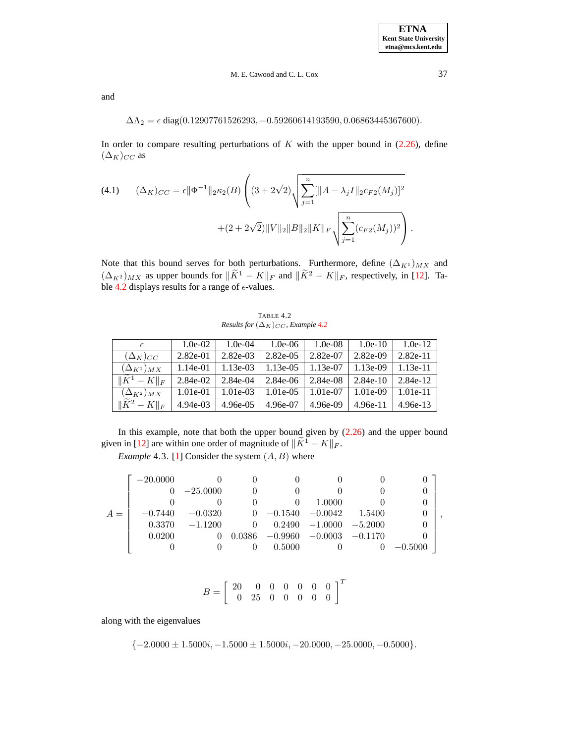and

$$
\Delta\Lambda_2 = \epsilon \operatorname{diag}(0.12907761526293, -0.59260614193590, 0.06863445367600).
$$

In order to compare resulting perturbations of  $K$  with the upper bound in [\(2.26\)](#page-8-0), define  $(\Delta_K)_{CC}$  as

(4.1) 
$$
(\Delta_K)_{CC} = \epsilon ||\Phi^{-1}||_2 \kappa_2(B) \left( (3 + 2\sqrt{2}) \sqrt{\sum_{j=1}^n [||A - \lambda_j I||_2 c_{F2}(M_j)]^2} + (2 + 2\sqrt{2}) ||V||_2 ||B||_2 ||K||_F \sqrt{\sum_{j=1}^n (c_{F2}(M_j))^2} \right).
$$

Note that this bound serves for both perturbations. Furthermore, define  $(\Delta_{K1})_{MX}$  and  $(\Delta_{K^2})_{MX}$  as upper bounds for  $\|\tilde{K}^1 - K\|_F$  and  $\|\tilde{K}^2 - K\|_F$ , respectively, in [\[12\]](#page-16-2). Ta-ble [4.2](#page-12-1) displays results for a range of  $\epsilon$ -values.

TABLE 4.2 *Results for*  $(\Delta_K)_{CC}$ *, Example [4.2](#page-11-0)* 

<span id="page-12-1"></span>

|                           | $1.0e-02$  | $1.0e-04$  | $1.0e-06$ | $1.0e-08$ | $1.0e-10$  | $1.0e-12$  |
|---------------------------|------------|------------|-----------|-----------|------------|------------|
| $(\Delta_K)_{CC}$         | $2.82e-01$ | 2.82e-03   | 2.82e-05  | 2.82e-07  | 2.82e-09   | $2.82e-11$ |
| $(\Delta_{K^1})_{MX}$     | 1.14e-01   | 1.13e-03   | 1.13e-05  | 1.13e-07  | 1.13e-09   | 1.13e-11   |
| $\ K^1 - K\ _F$           | 2.84e-02   | $2.84e-04$ | 2.84e-06  | 2.84e-08  | $2.84e-10$ | 2.84e-12   |
| $(\Delta_{K^2})_{MX}$     | 1.01e-01   | 1.01e-03   | 1.01e-05  | 1.01e-07  | 1.01e-09   | $1.01e-11$ |
| $\widetilde{\ K^2-K\ _F}$ | $4.94e-03$ | 4.96e-05   | 4.96e-07  | 4.96e-09  | $4.96e-11$ | 4.96e-13   |

<span id="page-12-0"></span>In this example, note that both the upper bound given by  $(2.26)$  and the upper bound given in [\[12\]](#page-16-2) are within one order of magnitude of  $\|\widetilde{K}^1 - K\|_F$ .

*Example* 4.3. [\[1\]](#page-16-0) Consider the system  $(A, B)$  where

$$
A = \left[\begin{array}{cccccccc} -20.0000 & 0 & 0 & 0 & 0 & 0 & 0 \\ 0 & -25.0000 & 0 & 0 & 0 & 0 & 0 \\ 0 & 0 & 0 & 0 & 1.0000 & 0 & 0 \\ -0.7440 & -0.0320 & 0 & -0.1540 & -0.0042 & 1.5400 & 0 \\ 0.3370 & -1.1200 & 0 & 0.2490 & -1.0000 & -5.2000 & 0 \\ 0.0200 & 0 & 0.0386 & -0.9960 & -0.0003 & -0.1170 & 0 \\ 0 & 0 & 0 & 0.5000 & 0 & 0 & -0.5000 \end{array}\right],
$$

$$
B = \left[ \begin{array}{cccccc} 20 & 0 & 0 & 0 & 0 & 0 & 0 \\ 0 & 25 & 0 & 0 & 0 & 0 & 0 \end{array} \right]^T
$$

along with the eigenvalues

$$
\{-2.0000 \pm 1.5000i, -1.5000 \pm 1.5000i, -20.0000, -25.0000, -0.5000\}.
$$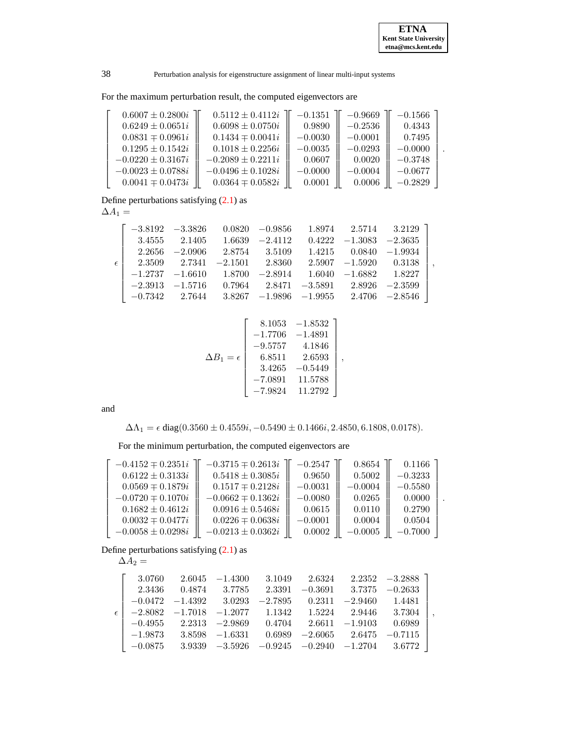.

,

,

38 Perturbation analysis for eigenstructure assignment of linear multi-input systems

For the maximum perturbation result, the computed eigenvectors are

| $0.6007 \pm 0.2800i$  | $0.5112 \pm 0.4112i$  | $-0.1351$ | $-0.9669$ | $-0.1566$ |
|-----------------------|-----------------------|-----------|-----------|-----------|
| $0.6249 \pm 0.0651i$  | $0.6098 \pm 0.0750i$  | 0.9890    | $-0.2536$ | 0.4343    |
| $0.0831 \mp 0.0961i$  | $0.1434 \pm 0.0041i$  | $-0.0030$ | $-0.0001$ | 0.7495    |
| $0.1295 \pm 0.1542i$  | $0.1018 \pm 0.2256i$  | $-0.0035$ | $-0.0293$ | $-0.0000$ |
| $-0.0220 \pm 0.3167i$ | $-0.2089 \pm 0.2211i$ | 0.0607    | 0.0020    | $-0.3748$ |
| $-0.0023 \pm 0.0788i$ | $-0.0496 \pm 0.1028i$ | $-0.0000$ | $-0.0004$ | $-0.0677$ |
| $0.0041 \mp 0.0473i$  | $0.0364 \pm 0.0582i$  | 0.0001    | 0.0006    | $-0.2829$ |

Define perturbations satisfying  $(2.1)$  as

 $\Delta A_1 =$ 

| εI |  | $2.2656$ $-2.0906$ $2.8754$ $3.5109$<br>$2.3509$ $2.7341$ $-2.1501$ $2.8360$ |  | $-3.8192$ $-3.3826$ $0.0820$ $-0.9856$ $1.8974$ $2.5714$ $3.2129$ ]<br>$3.4555$ $2.1405$ $1.6639$ $-2.4112$ $0.4222$ $-1.3083$ $-2.3635$<br>$1.4215$ $0.0840$ $-1.9934$<br>$2.5907 -1.5920 0.3138$<br>$-1.2737$ $-1.6610$ $1.8700$ $-2.8914$ $1.6040$ $-1.6882$ $1.8227$<br>$-2.3913$ $-1.5716$ $0.7964$ $2.8471$ $-3.5891$ $2.8926$ $-2.3599$<br>$\vert$ -0.7342 2.7644 3.8267 -1.9896 -1.9955 2.4706 -2.8546 |
|----|--|------------------------------------------------------------------------------|--|----------------------------------------------------------------------------------------------------------------------------------------------------------------------------------------------------------------------------------------------------------------------------------------------------------------------------------------------------------------------------------------------------------------|

$$
\Delta B_1 = \epsilon \begin{bmatrix} 8.1053 & -1.8532 \\ -1.7706 & -1.4891 \\ -9.5757 & 4.1846 \\ 6.8511 & 2.6593 \\ 3.4265 & -0.5449 \\ -7.0891 & 11.5788 \\ -7.9824 & 11.2792 \end{bmatrix},
$$

and

 $\Delta\Lambda_1 = \epsilon \text{ diag}(0.3560 \pm 0.4559i, -0.5490 \pm 0.1466i, 2.4850, 6.1808, 0.0178).$ 

For the minimum perturbation, the computed eigenvectors are

 $\overline{a}$ 

| $-0.4152 \pm 0.2351i$ | $-0.3715 \pm 0.2613i$ | $-0.2547$ | 0.8654    | 0.1166    |  |
|-----------------------|-----------------------|-----------|-----------|-----------|--|
| $0.6122 \pm 0.3133i$  | $0.5418 \pm 0.3085i$  | 0.9650    | 0.5002    | $-0.3233$ |  |
| $0.0569 \pm 0.1879i$  | $0.1517 \pm 0.2128i$  | $-0.0031$ | $-0.0004$ | $-0.5580$ |  |
| $-0.0720 \pm 0.1070i$ | $-0.0662 \pm 0.1362i$ | $-0.0080$ | 0.0265    | 0.0000    |  |
| $0.1682 \pm 0.4612i$  | $0.0916 \pm 0.5468i$  | 0.0615    | 0.0110    | 0.2790    |  |
| $0.0032 \pm 0.0477i$  | $0.0226 \pm 0.0638i$  | $-0.0001$ | 0.0004    | 0.0504    |  |
| $-0.0058 \pm 0.0298i$ | $-0.0213 \pm 0.0362i$ | 0.0002    | $-0.0005$ | $-0.7000$ |  |

Define perturbations satisfying  $(2.1)$  as

 $\Delta A_2 =$ 

| 3.0760                                                                 |                                                                    |  | $2.6045$ $-1.4300$ $3.1049$ $2.6324$ $2.2352$ $-3.2888$ ]       |
|------------------------------------------------------------------------|--------------------------------------------------------------------|--|-----------------------------------------------------------------|
|                                                                        | $2.3436$ $0.4874$ $3.7785$ $2.3391$ $-0.3691$ $3.7375$ $-0.2633$   |  |                                                                 |
|                                                                        | $-0.0472$ $-1.4392$ $3.0293$ $-2.7895$ $0.2311$ $-2.9460$ $1.4481$ |  |                                                                 |
| $\epsilon$   $-2.8082$ $-1.7018$ $-1.2077$ 1.1342 1.5224 2.9446 3.7304 |                                                                    |  |                                                                 |
|                                                                        | $-0.4955$ 2.2313 $-2.9869$ 0.4704 2.6611 $-1.9103$ 0.6989          |  |                                                                 |
|                                                                        | $-1.9873$ $3.8598$ $-1.6331$ $0.6989$ $-2.6065$ $2.6475$ $-0.7115$ |  |                                                                 |
|                                                                        |                                                                    |  | $-0.0875$ 3.9339 $-3.5926$ $-0.9245$ $-0.2940$ $-1.2704$ 3.6772 |
|                                                                        |                                                                    |  |                                                                 |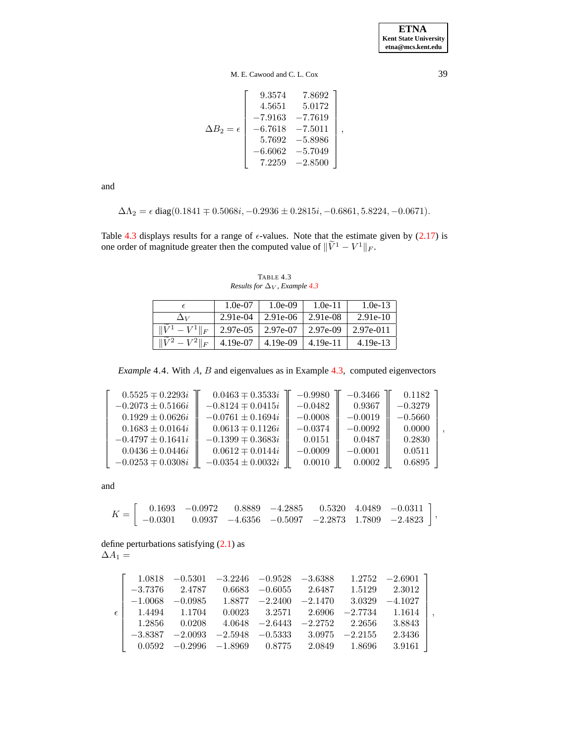M. E. Cawood and C. L. Cox 39

$$
\Delta B_2 = \epsilon \begin{bmatrix} 9.3574 & 7.8692 \\ 4.5651 & 5.0172 \\ -7.9163 & -7.7619 \\ -6.7618 & -7.5011 \\ 5.7692 & -5.8986 \\ -6.6062 & -5.7049 \\ 7.2259 & -2.8500 \end{bmatrix},
$$

and

$$
\Delta\Lambda_2 = \epsilon \operatorname{diag}(0.1841 \mp 0.5068i, -0.2936 \pm 0.2815i, -0.6861, 5.8224, -0.0671).
$$

Table [4.3](#page-14-1) displays results for a range of  $\epsilon$ -values. Note that the estimate given by [\(2.17\)](#page-6-0) is one order of magnitude greater then the computed value of  $\|\tilde{V}^1 - V^1\|_F$ .

<span id="page-14-1"></span>

|                   | $1.0e-07$  | $1.0e-09$  | $1.0e-11$  | $1.0e-13$   |
|-------------------|------------|------------|------------|-------------|
| $\Delta_V$        | $2.91e-04$ | 2.91e-06   | 2.91e-08   | $2.91e-10$  |
| $  \mathbf{r}z  $ | 2.97e-05   | 2.97e-07   | 2.97e-09   | $2.97e-011$ |
|                   | 4.19e-07   | $4.19e-09$ | $4.19e-11$ | $4.19e-13$  |

TABLE 4.3 *Results for*  $\Delta$ <sub>*V</sub>*, *Example* [4.3](#page-12-0)</sub>

*Example* 4.4. With A, B and eigenvalues as in Example [4.3](#page-12-0)*,* computed eigenvectors

<span id="page-14-0"></span>

| $0.5525 \pm 0.2293i$  | $0.0463 \pm 0.3533i$  | $-0.9980$ | $-0.3466$ | 0.1182    |
|-----------------------|-----------------------|-----------|-----------|-----------|
| $-0.2073 \pm 0.5166i$ | $-0.8124 \pm 0.0415i$ | $-0.0482$ | 0.9367    | $-0.3279$ |
| $0.1929 \pm 0.0626i$  | $-0.0761 \pm 0.1694i$ | $-0.0008$ | $-0.0019$ | $-0.5660$ |
| $0.1683 \pm 0.0164i$  | $0.0613 \pm 0.1126i$  | $-0.0374$ | $-0.0092$ | 0.0000    |
| $-0.4797 \pm 0.1641i$ | $-0.1399 \pm 0.3683i$ | 0.0151    | 0.0487    | 0.2830    |
| $0.0436 \pm 0.0446i$  | $0.0612 \pm 0.0144i$  | $-0.0009$ | $-0.0001$ | 0.0511    |
| $-0.0253 \pm 0.0308i$ | $-0.0354 \pm 0.0032i$ | 0.0010    | 0.0002    | 0.6895    |

and

|  |  |  |  | $K =$ 0.1693 -0.0972 0.8889 -4.2885 0.5320 4.0489 -0.0311                                               |  |
|--|--|--|--|---------------------------------------------------------------------------------------------------------|--|
|  |  |  |  | $\vert -0.0301 \quad 0.0937 \quad -4.6356 \quad -0.5097 \quad -2.2873 \quad 1.7809 \quad -2.4823 \vert$ |  |

define perturbations satisfying [\(2.1\)](#page-3-3) as  $\Lambda$   $\Lambda$ 

|--|--|

|              |  |                                                                     |  | $1.0818$ $-0.5301$ $-3.2246$ $-0.9528$ $-3.6388$ $1.2752$ $-2.6901$ |
|--------------|--|---------------------------------------------------------------------|--|---------------------------------------------------------------------|
|              |  | $-3.7376$ $2.4787$ $0.6683$ $-0.6055$ $2.6487$ $1.5129$ $2.3012$    |  |                                                                     |
|              |  | $-1.0068$ $-0.0985$ $1.8877$ $-2.2400$ $-2.1470$ $3.0329$ $-4.1027$ |  |                                                                     |
| $\epsilon$ l |  | $1.4494$ $1.1704$ $0.0023$ $3.2571$ $2.6906$ $-2.7734$ $1.1614$     |  |                                                                     |
|              |  | $1.2856$ $0.0208$ $4.0648$ $-2.6443$ $-2.2752$ $2.2656$ $3.8843$    |  |                                                                     |
|              |  | $-3.8387$ $-2.0093$ $-2.5948$ $-0.5333$ $3.0975$ $-2.2155$          |  | 2.3436                                                              |
|              |  | $0.0592$ $-0.2996$ $-1.8969$ $0.8775$ $2.0849$ $1.8696$             |  | $3.9161$                                                            |

,

,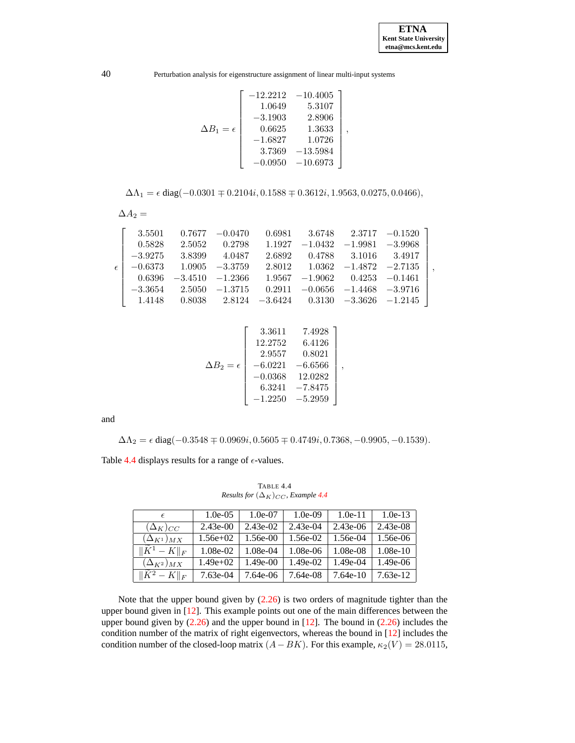40 Perturbation analysis for eigenstructure assignment of linear multi-input systems

$$
\Delta B_1 = \epsilon \left[\begin{array}{ccc} -12.2212 & -10.4005 \\ 1.0649 & 5.3107 \\ -3.1903 & 2.8906 \\ 0.6625 & 1.3633 \\ -1.6827 & 1.0726 \\ 3.7369 & -13.5984 \\ -0.0950 & -10.6973 \end{array}\right],
$$

$$
\Delta\Lambda_1=\epsilon\operatorname{diag}(-0.0301\mp0.2104i,0.1588\mp0.3612i,1.9563,0.0275,0.0466),
$$

$$
\Delta A_2 =
$$

| 0.5828<br>$\epsilon$   $-0.6373$ 1.0905 $-3.3759$           | $2.5052$ $0.2798$ $1.1927$ $-1.0432$ $-1.9981$ $-3.9968$<br>$-3.9275$ $3.8399$ $4.0487$<br>$0.6396 -3.4510 -1.2366$ $1.9567 -1.9062$ $0.4253 -0.1461$<br>$-3.3654$ $2.5050$ $-1.3715$ $0.2911$ $-0.0656$ $-1.4468$ $-3.9716$ |  | 2.6892  0.4788  3.1016  3.4917<br>$2.8012$ $1.0362$ $-1.4872$ $-2.7135$ | 3.5501 0.7677 -0.0470 0.6981 3.6748 2.3717 -0.1520 |  |
|-------------------------------------------------------------|------------------------------------------------------------------------------------------------------------------------------------------------------------------------------------------------------------------------------|--|-------------------------------------------------------------------------|----------------------------------------------------|--|
| $\vert$ 1.4148 0.8038 2.8124 -3.6424 0.3130 -3.3626 -1.2145 |                                                                                                                                                                                                                              |  |                                                                         |                                                    |  |

$$
\Delta B_2 = \epsilon \begin{bmatrix} 3.3611 & 7.4928 \\ 12.2752 & 6.4126 \\ 2.9557 & 0.8021 \\ -6.0221 & -6.6566 \\ -0.0368 & 12.0282 \\ 6.3241 & -7.8475 \\ -1.2250 & -5.2959 \end{bmatrix},
$$

and

 $\Delta\Lambda_2 = \epsilon \text{ diag}(-0.3548 \mp 0.0969i, 0.5605 \mp 0.4749i, 0.7368, -0.9905, -0.1539).$ 

Table [4.4](#page-15-0) displays results for a range of  $\epsilon$ -values.

<span id="page-15-0"></span> $\epsilon$  1.0e-05 1.0e-07 1.0e-09 1.0e-11 1.0e-13  $(\Delta_K)_{CC}$  | 2.43e-00 | 2.43e-02 | 2.43e-04 | 2.43e-06 | 2.43e-08  $(\Delta_{K^1})_{MX}$  | 1.56e+02 | 1.56e-00 | 1.56e-02 | 1.56e-04 | 1.56e-06  $\frac{\|\tilde{K}^1 - K\|_F}{(\Delta_{K^2})_{MX}}$  1.08e-02 1.08e-04 1.08e-06 1.08e-08 1.08e-10<br>( $\Delta_{K^2}$ ) $_{MX}$  1.49e+02 1.49e-00 1.49e-02 1.49e-04 1.49e-06  $(\Delta_{K^2})_{\underline{MX}}$  $\|\widetilde{K}^2 - K\|_F$  7.63e-04 7.64e-06 7.64e-08 7.64e-10 7.63e-12

TABLE 4.4 *Results for*  $(\Delta_K)_{CC}$ *, Example [4.4](#page-14-0)* 

Note that the upper bound given by [\(2.26\)](#page-8-0) is two orders of magnitude tighter than the upper bound given in [\[12\]](#page-16-2). This example points out one of the main differences between the upper bound given by  $(2.26)$  and the upper bound in [\[12\]](#page-16-2). The bound in  $(2.26)$  includes the condition number of the matrix of right eigenvectors, whereas the bound in [\[12\]](#page-16-2) includes the condition number of the closed-loop matrix  $(A-BK)$ . For this example,  $\kappa_2(V) = 28.0115$ ,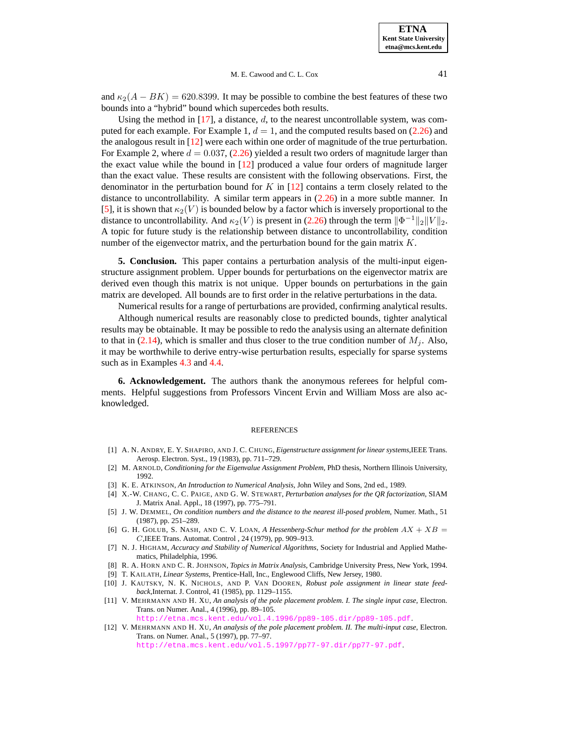and  $\kappa_2(A - BK) = 620.8399$ . It may be possible to combine the best features of these two bounds into a "hybrid" bound which supercedes both results.

Using the method in [\[17\]](#page-17-4), a distance,  $d$ , to the nearest uncontrollable system, was computed for each example. For Example 1,  $d = 1$ , and the computed results based on [\(2.26\)](#page-8-0) and the analogous result in [\[12\]](#page-16-2) were each within one order of magnitude of the true perturbation. For Example 2, where  $d = 0.037$ , [\(2.26\)](#page-8-0) yielded a result two orders of magnitude larger than the exact value while the bound in [\[12\]](#page-16-2) produced a value four orders of magnitude larger than the exact value. These results are consistent with the following observations. First, the denominator in the perturbation bound for K in  $[12]$  contains a term closely related to the distance to uncontrollability. A similar term appears in [\(2.26\)](#page-8-0) in a more subtle manner. In [\[5\]](#page-16-6), it is shown that  $\kappa_2(V)$  is bounded below by a factor which is inversely proportional to the distance to uncontrollability. And  $\kappa_2(V)$  is present in [\(2.26\)](#page-8-0) through the term  $\|\Phi^{-1}\|_2 \|V\|_2$ . A topic for future study is the relationship between distance to uncontrollability, condition number of the eigenvector matrix, and the perturbation bound for the gain matrix  $K$ .

**5. Conclusion.** This paper contains a perturbation analysis of the multi-input eigenstructure assignment problem. Upper bounds for perturbations on the eigenvector matrix are derived even though this matrix is not unique. Upper bounds on perturbations in the gain matrix are developed. All bounds are to first order in the relative perturbations in the data.

Numerical results for a range of perturbations are provided, confirming analytical results.

Although numerical results are reasonably close to predicted bounds, tighter analytical results may be obtainable. It may be possible to redo the analysis using an alternate definition to that in [\(2.14\)](#page-5-4), which is smaller and thus closer to the true condition number of  $M_i$ . Also, it may be worthwhile to derive entry-wise perturbation results, especially for sparse systems such as in Examples [4.3](#page-12-0) and [4.4.](#page-14-0)

**6. Acknowledgement.** The authors thank the anonymous referees for helpful comments. Helpful suggestions from Professors Vincent Ervin and William Moss are also acknowledged.

#### REFERENCES

- <span id="page-16-0"></span>[1] A. N. ANDRY, E. Y. SHAPIRO, AND J. C. CHUNG, *Eigenstructure assignment for linear systems*,IEEE Trans. Aerosp. Electron. Syst., 19 (1983), pp. 711–729.
- <span id="page-16-4"></span>[2] M. ARNOLD, *Conditioning for the Eigenvalue Assignment Problem*, PhD thesis, Northern Illinois University, 1992.
- <span id="page-16-8"></span><span id="page-16-7"></span>[3] K. E. ATKINSON, *An Introduction to Numerical Analysis*, John Wiley and Sons, 2nd ed., 1989.
- [4] X.-W. CHANG, C. C. PAIGE, AND G. W. STEWART, *Perturbation analyses for the QR factorization*, SIAM J. Matrix Anal. Appl., 18 (1997), pp. 775–791.
- <span id="page-16-6"></span>[5] J. W. DEMMEL, *On condition numbers and the distance to the nearest ill-posed problem*, Numer. Math., 51 (1987), pp. 251–289.
- <span id="page-16-10"></span>[6] G. H. GOLUB, S. NASH, AND C. V. LOAN, A Hessenberg-Schur method for the problem  $AX + XB =$ C,IEEE Trans. Automat. Control , 24 (1979), pp. 909–913.
- <span id="page-16-11"></span>[7] N. J. HIGHAM, *Accuracy and Stability of Numerical Algorithms*, Society for Industrial and Applied Mathematics, Philadelphia, 1996.
- <span id="page-16-9"></span>[8] R. A. HORN AND C. R. JOHNSON, *Topics in Matrix Analysis*, Cambridge University Press, New York, 1994.
- [9] T. KAILATH, *Linear Systems*, Prentice-Hall, Inc., Englewood Cliffs, New Jersey, 1980.
- <span id="page-16-3"></span><span id="page-16-1"></span>[10] J. KAUTSKY, N. K. NICHOLS, AND P. VAN DOOREN, *Robust pole assignment in linear state feedback*,Internat. J. Control, 41 (1985), pp. 1129–1155.
- <span id="page-16-5"></span>[11] V. MEHRMANN AND H. XU, *An analysis of the pole placement problem. I. The single input case*, Electron. Trans. on Numer. Anal., 4 (1996), pp. 89–105.

<http://etna.mcs.kent.edu/vol.4.1996/pp89-105.dir/pp89-105.pdf>.

<span id="page-16-2"></span>[12] V. MEHRMANN AND H. XU, *An analysis of the pole placement problem. II. The multi-input case*, Electron. Trans. on Numer. Anal., 5 (1997), pp. 77–97. <http://etna.mcs.kent.edu/vol.5.1997/pp77-97.dir/pp77-97.pdf>.